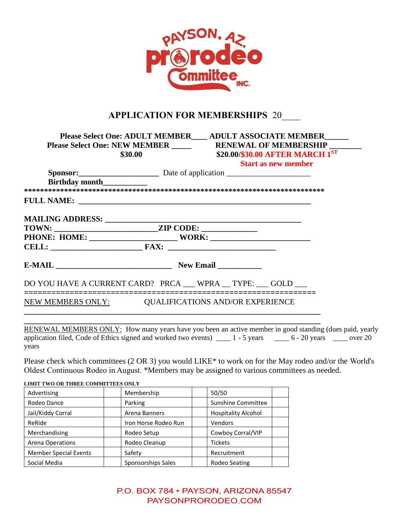

## **APPLICATION FOR MEMBERSHIPS** 20\_\_\_\_

|                                                                                  | Please Select One: ADULT MEMBER____ ADULT ASSOCIATE MEMBER_____ |                                 |  |
|----------------------------------------------------------------------------------|-----------------------------------------------------------------|---------------------------------|--|
|                                                                                  |                                                                 |                                 |  |
|                                                                                  | \$30.00                                                         | \$20.00/\$30.00 AFTER MARCH 1ST |  |
|                                                                                  |                                                                 | <b>Start as new member</b>      |  |
|                                                                                  |                                                                 |                                 |  |
| Birthday month                                                                   |                                                                 |                                 |  |
|                                                                                  |                                                                 |                                 |  |
|                                                                                  |                                                                 |                                 |  |
|                                                                                  |                                                                 |                                 |  |
|                                                                                  |                                                                 |                                 |  |
| TOWN: _________________________________ZIP CODE: _______________________________ |                                                                 |                                 |  |
|                                                                                  |                                                                 |                                 |  |
|                                                                                  |                                                                 |                                 |  |
|                                                                                  |                                                                 |                                 |  |
|                                                                                  |                                                                 |                                 |  |
| DO YOU HAVE A CURRENT CARD? PRCA ___ WPRA __ TYPE: ___ GOLD ___                  |                                                                 |                                 |  |
| NEW MEMBERS ONLY: QUALIFICATIONS AND/OR EXPERIENCE                               |                                                                 |                                 |  |
|                                                                                  |                                                                 |                                 |  |
|                                                                                  |                                                                 |                                 |  |

RENEWAL MEMBERS ONLY: How many years have you been an active member in good standing (dues paid, yearly application filed, Code of Ethics signed and worked two events) \_\_\_\_ 1 - 5 years \_\_\_\_ 6 - 20 years \_\_\_\_ over 20 years

Please check which committees (2 OR 3) you would LIKE\* to work on for the May rodeo and/or the World's Oldest Continuous Rodeo in August. \*Members may be assigned to various committees as needed.

**LIMIT TWO OR THREE COMMITTEES ONLY**  Advertising | | Membership | 50/50 Rodeo Dance **Parking Parking Committee I** Sunshine Committee Jail/Kiddy Corral **Arena Banners** | | Hospitality Alcohol ReRide **Internal Property** Iron Horse Rodeo Run Vendors Merchandising Rodeo Setup | Cowboy Corral/VIP Arena Operations | Rodeo Cleanup | Tickets Member Special Events Safety Safety Recruitment Social Media **Sponsorships Sales** Rodeo Seating

> P.O. BOX 784 • PAYSON, ARIZONA 85547 PAYSONPRORODEO.COM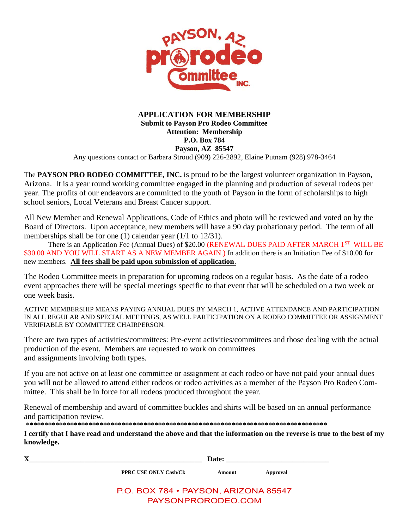

## **APPLICATION FOR MEMBERSHIP Submit to Payson Pro Rodeo Committee Attention: Membership P.O. Box 784 Payson, AZ 85547** Any questions contact or Barbara Stroud (909) 226-2892, Elaine Putnam (928) 978-3464

The **PAYSON PRO RODEO COMMITTEE, INC.** is proud to be the largest volunteer organization in Payson, Arizona. It is a year round working committee engaged in the planning and production of several rodeos per year. The profits of our endeavors are committed to the youth of Payson in the form of scholarships to high school seniors, Local Veterans and Breast Cancer support.

All New Member and Renewal Applications, Code of Ethics and photo will be reviewed and voted on by the Board of Directors. Upon acceptance, new members will have a 90 day probationary period. The term of all memberships shall be for one (1) calendar year (1/1 to 12/31).

There is an Application Fee (Annual Dues) of \$20.00 (RENEWAL DUES PAID AFTER MARCH 1<sup>ST</sup> WILL BE \$30.00 AND YOU WILL START AS A NEW MEMBER AGAIN.) In addition there is an Initiation Fee of \$10.00 for new members. **All fees shall be paid upon submission of application**.

The Rodeo Committee meets in preparation for upcoming rodeos on a regular basis. As the date of a rodeo event approaches there will be special meetings specific to that event that will be scheduled on a two week or one week basis.

ACTIVE MEMBERSHIP MEANS PAYING ANNUAL DUES BY MARCH 1, ACTIVE ATTENDANCE AND PARTICIPATION IN ALL REGULAR AND SPECIAL MEETINGS, AS WELL PARTICIPATION ON A RODEO COMMITTEE OR ASSIGNMENT VERIFIABLE BY COMMITTEE CHAIRPERSON.

There are two types of activities/committees: Pre-event activities/committees and those dealing with the actual production of the event. Members are requested to work on committees and assignments involving both types.

If you are not active on at least one committee or assignment at each rodeo or have not paid your annual dues you will not be allowed to attend either rodeos or rodeo activities as a member of the Payson Pro Rodeo Committee. This shall be in force for all rodeos produced throughout the year.

Renewal of membership and award of committee buckles and shirts will be based on an annual performance and participation review.

**\*\*\*\*\*\*\*\*\*\*\*\*\*\*\*\*\*\*\*\*\*\*\*\*\*\*\*\*\*\*\*\*\*\*\*\*\*\*\*\*\*\*\*\*\*\*\*\*\*\*\*\*\*\*\*\*\*\*\*\*\*\*\*\*\*\*\*\*\*\*\*\*\*\*\*\*\*\*\*\*\*\***

**I certify that I have read and understand the above and that the information on the reverse is true to the best of my knowledge.**

|                                      | Date:  |          |  |
|--------------------------------------|--------|----------|--|
| <b>PPRC USE ONLY Cash/Ck</b>         | Amount | Approval |  |
| P.O. BOX 784 • PAYSON, ARIZONA 85547 |        |          |  |
| PAYSONPRORODEO.COM                   |        |          |  |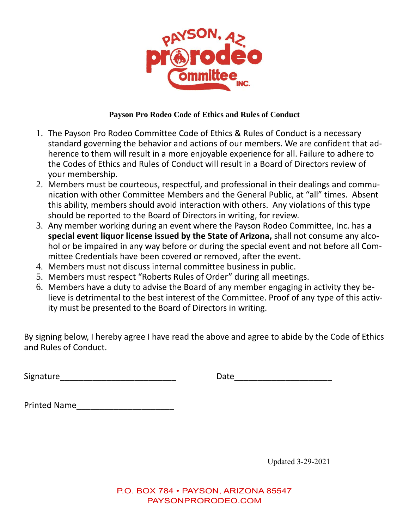

## **Payson Pro Rodeo Code of Ethics and Rules of Conduct**

- 1. The Payson Pro Rodeo Committee Code of Ethics & Rules of Conduct is a necessary standard governing the behavior and actions of our members. We are confident that adherence to them will result in a more enjoyable experience for all. Failure to adhere to the Codes of Ethics and Rules of Conduct will result in a Board of Directors review of your membership.
- 2. Members must be courteous, respectful, and professional in their dealings and communication with other Committee Members and the General Public, at "all" times. Absent this ability, members should avoid interaction with others. Any violations of this type should be reported to the Board of Directors in writing, for review.
- 3. Any member working during an event where the Payson Rodeo Committee, Inc. has **a special event liquor license issued by the State of Arizona,** shall not consume any alcohol or be impaired in any way before or during the special event and not before all Committee Credentials have been covered or removed, after the event.
- 4. Members must not discuss internal committee business in public.
- 5. Members must respect "Roberts Rules of Order" during all meetings.
- 6. Members have a duty to advise the Board of any member engaging in activity they believe is detrimental to the best interest of the Committee. Proof of any type of this activity must be presented to the Board of Directors in writing.

By signing below, I hereby agree I have read the above and agree to abide by the Code of Ethics and Rules of Conduct.

Signature\_\_\_\_\_\_\_\_\_\_\_\_\_\_\_\_\_\_\_\_\_\_\_\_\_ Date\_\_\_\_\_\_\_\_\_\_\_\_\_\_\_\_\_\_\_\_\_

| <b>Printed Name</b> |  |
|---------------------|--|
|---------------------|--|

Updated 3-29-2021

P.O. BOX 784 • PAYSON, ARIZONA 85547 PAYSONPRORODEO.COM